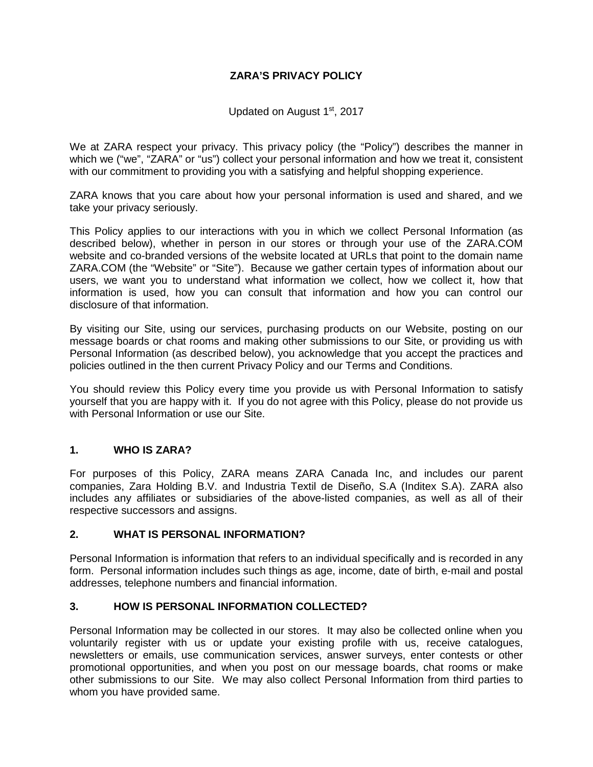## **ZARA'S PRIVACY POLICY**

Updated on August 1<sup>st</sup>, 2017

We at ZARA respect your privacy. This privacy policy (the "Policy") describes the manner in which we ("we", "ZARA" or "us") collect your personal information and how we treat it, consistent with our commitment to providing you with a satisfying and helpful shopping experience.

ZARA knows that you care about how your personal information is used and shared, and we take your privacy seriously.

This Policy applies to our interactions with you in which we collect Personal Information (as described below), whether in person in our stores or through your use of the ZARA.COM website and co-branded versions of the website located at URLs that point to the domain name ZARA.COM (the "Website" or "Site"). Because we gather certain types of information about our users, we want you to understand what information we collect, how we collect it, how that information is used, how you can consult that information and how you can control our disclosure of that information.

By visiting our Site, using our services, purchasing products on our Website, posting on our message boards or chat rooms and making other submissions to our Site, or providing us with Personal Information (as described below), you acknowledge that you accept the practices and policies outlined in the then current Privacy Policy and our Terms and Conditions.

You should review this Policy every time you provide us with Personal Information to satisfy yourself that you are happy with it. If you do not agree with this Policy, please do not provide us with Personal Information or use our Site.

### **1. WHO IS ZARA?**

For purposes of this Policy, ZARA means ZARA Canada Inc, and includes our parent companies, Zara Holding B.V. and Industria Textil de Diseño, S.A (Inditex S.A). ZARA also includes any affiliates or subsidiaries of the above-listed companies, as well as all of their respective successors and assigns.

### **2. WHAT IS PERSONAL INFORMATION?**

Personal Information is information that refers to an individual specifically and is recorded in any form. Personal information includes such things as age, income, date of birth, e-mail and postal addresses, telephone numbers and financial information.

### **3. HOW IS PERSONAL INFORMATION COLLECTED?**

Personal Information may be collected in our stores. It may also be collected online when you voluntarily register with us or update your existing profile with us, receive catalogues, newsletters or emails, use communication services, answer surveys, enter contests or other promotional opportunities, and when you post on our message boards, chat rooms or make other submissions to our Site. We may also collect Personal Information from third parties to whom you have provided same.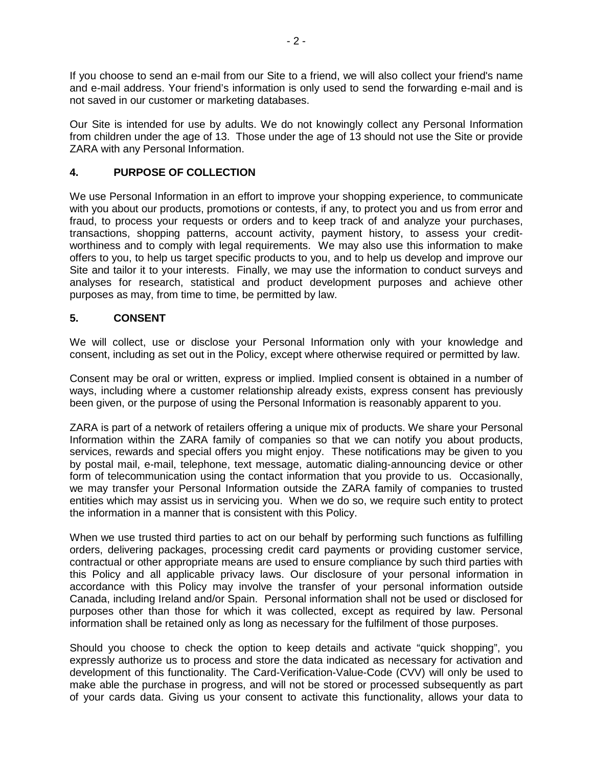If you choose to send an e-mail from our Site to a friend, we will also collect your friend's name and e-mail address. Your friend's information is only used to send the forwarding e-mail and is not saved in our customer or marketing databases.

Our Site is intended for use by adults. We do not knowingly collect any Personal Information from children under the age of 13. Those under the age of 13 should not use the Site or provide ZARA with any Personal Information.

## **4. PURPOSE OF COLLECTION**

We use Personal Information in an effort to improve your shopping experience, to communicate with you about our products, promotions or contests, if any, to protect you and us from error and fraud, to process your requests or orders and to keep track of and analyze your purchases, transactions, shopping patterns, account activity, payment history, to assess your creditworthiness and to comply with legal requirements. We may also use this information to make offers to you, to help us target specific products to you, and to help us develop and improve our Site and tailor it to your interests. Finally, we may use the information to conduct surveys and analyses for research, statistical and product development purposes and achieve other purposes as may, from time to time, be permitted by law.

## **5. CONSENT**

We will collect, use or disclose your Personal Information only with your knowledge and consent, including as set out in the Policy, except where otherwise required or permitted by law.

Consent may be oral or written, express or implied. Implied consent is obtained in a number of ways, including where a customer relationship already exists, express consent has previously been given, or the purpose of using the Personal Information is reasonably apparent to you.

ZARA is part of a network of retailers offering a unique mix of products. We share your Personal Information within the ZARA family of companies so that we can notify you about products, services, rewards and special offers you might enjoy. These notifications may be given to you by postal mail, e-mail, telephone, text message, automatic dialing-announcing device or other form of telecommunication using the contact information that you provide to us. Occasionally, we may transfer your Personal Information outside the ZARA family of companies to trusted entities which may assist us in servicing you. When we do so, we require such entity to protect the information in a manner that is consistent with this Policy.

When we use trusted third parties to act on our behalf by performing such functions as fulfilling orders, delivering packages, processing credit card payments or providing customer service, contractual or other appropriate means are used to ensure compliance by such third parties with this Policy and all applicable privacy laws. Our disclosure of your personal information in accordance with this Policy may involve the transfer of your personal information outside Canada, including Ireland and/or Spain. Personal information shall not be used or disclosed for purposes other than those for which it was collected, except as required by law. Personal information shall be retained only as long as necessary for the fulfilment of those purposes.

Should you choose to check the option to keep details and activate "quick shopping", you expressly authorize us to process and store the data indicated as necessary for activation and development of this functionality. The Card-Verification-Value-Code (CVV) will only be used to make able the purchase in progress, and will not be stored or processed subsequently as part of your cards data. Giving us your consent to activate this functionality, allows your data to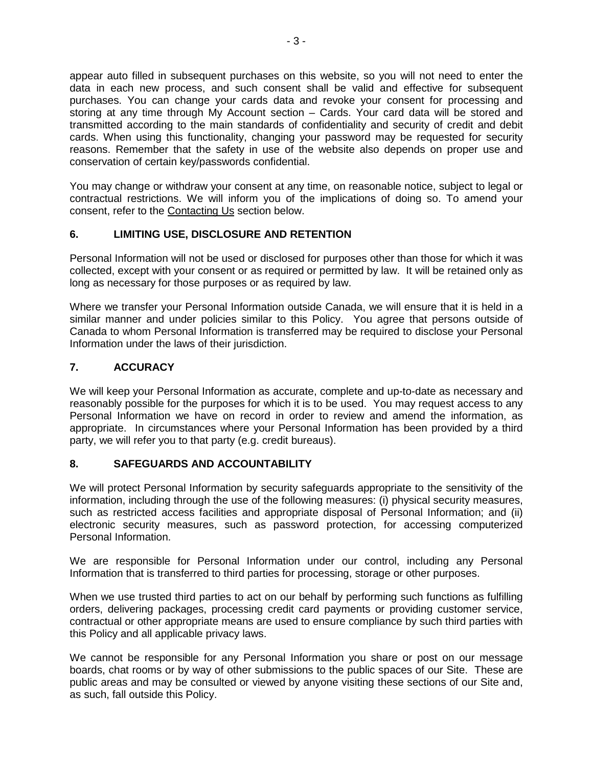appear auto filled in subsequent purchases on this website, so you will not need to enter the data in each new process, and such consent shall be valid and effective for subsequent purchases. You can change your cards data and revoke your consent for processing and storing at any time through My Account section – Cards. Your card data will be stored and transmitted according to the main standards of confidentiality and security of credit and debit cards. When using this functionality, changing your password may be requested for security reasons. Remember that the safety in use of the website also depends on proper use and conservation of certain key/passwords confidential.

You may change or withdraw your consent at any time, on reasonable notice, subject to legal or contractual restrictions. We will inform you of the implications of doing so. To amend your consent, refer to the Contacting Us section below.

## **6. LIMITING USE, DISCLOSURE AND RETENTION**

Personal Information will not be used or disclosed for purposes other than those for which it was collected, except with your consent or as required or permitted by law. It will be retained only as long as necessary for those purposes or as required by law.

Where we transfer your Personal Information outside Canada, we will ensure that it is held in a similar manner and under policies similar to this Policy. You agree that persons outside of Canada to whom Personal Information is transferred may be required to disclose your Personal Information under the laws of their jurisdiction.

# **7. ACCURACY**

We will keep your Personal Information as accurate, complete and up-to-date as necessary and reasonably possible for the purposes for which it is to be used. You may request access to any Personal Information we have on record in order to review and amend the information, as appropriate. In circumstances where your Personal Information has been provided by a third party, we will refer you to that party (e.g. credit bureaus).

## **8. SAFEGUARDS AND ACCOUNTABILITY**

We will protect Personal Information by security safeguards appropriate to the sensitivity of the information, including through the use of the following measures: (i) physical security measures, such as restricted access facilities and appropriate disposal of Personal Information; and (ii) electronic security measures, such as password protection, for accessing computerized Personal Information.

We are responsible for Personal Information under our control, including any Personal Information that is transferred to third parties for processing, storage or other purposes.

When we use trusted third parties to act on our behalf by performing such functions as fulfilling orders, delivering packages, processing credit card payments or providing customer service, contractual or other appropriate means are used to ensure compliance by such third parties with this Policy and all applicable privacy laws.

We cannot be responsible for any Personal Information you share or post on our message boards, chat rooms or by way of other submissions to the public spaces of our Site. These are public areas and may be consulted or viewed by anyone visiting these sections of our Site and, as such, fall outside this Policy.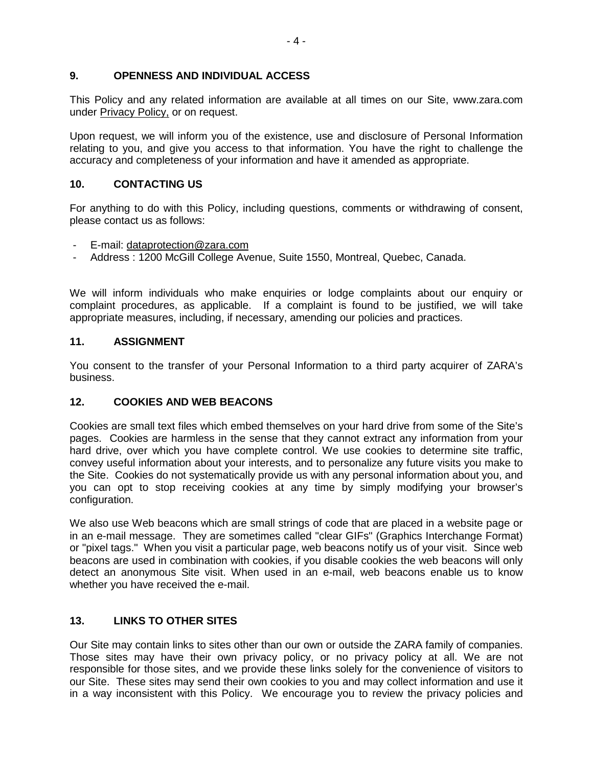### **9. OPENNESS AND INDIVIDUAL ACCESS**

This Policy and any related information are available at all times on our Site, www.zara.com under Privacy Policy, or on request.

Upon request, we will inform you of the existence, use and disclosure of Personal Information relating to you, and give you access to that information. You have the right to challenge the accuracy and completeness of your information and have it amended as appropriate.

## **10. CONTACTING US**

For anything to do with this Policy, including questions, comments or withdrawing of consent, please contact us as follows:

- E-mail: dataprotection@zara.com
- Address : 1200 McGill College Avenue, Suite 1550, Montreal, Quebec, Canada.

We will inform individuals who make enquiries or lodge complaints about our enquiry or complaint procedures, as applicable. If a complaint is found to be justified, we will take appropriate measures, including, if necessary, amending our policies and practices.

### **11. ASSIGNMENT**

You consent to the transfer of your Personal Information to a third party acquirer of ZARA's business.

### **12. COOKIES AND WEB BEACONS**

Cookies are small text files which embed themselves on your hard drive from some of the Site's pages. Cookies are harmless in the sense that they cannot extract any information from your hard drive, over which you have complete control. We use cookies to determine site traffic, convey useful information about your interests, and to personalize any future visits you make to the Site. Cookies do not systematically provide us with any personal information about you, and you can opt to stop receiving cookies at any time by simply modifying your browser's configuration.

We also use Web beacons which are small strings of code that are placed in a website page or in an e-mail message. They are sometimes called "clear GIFs" (Graphics Interchange Format) or "pixel tags." When you visit a particular page, web beacons notify us of your visit. Since web beacons are used in combination with cookies, if you disable cookies the web beacons will only detect an anonymous Site visit. When used in an e-mail, web beacons enable us to know whether you have received the e-mail.

## **13. LINKS TO OTHER SITES**

Our Site may contain links to sites other than our own or outside the ZARA family of companies. Those sites may have their own privacy policy, or no privacy policy at all. We are not responsible for those sites, and we provide these links solely for the convenience of visitors to our Site. These sites may send their own cookies to you and may collect information and use it in a way inconsistent with this Policy. We encourage you to review the privacy policies and